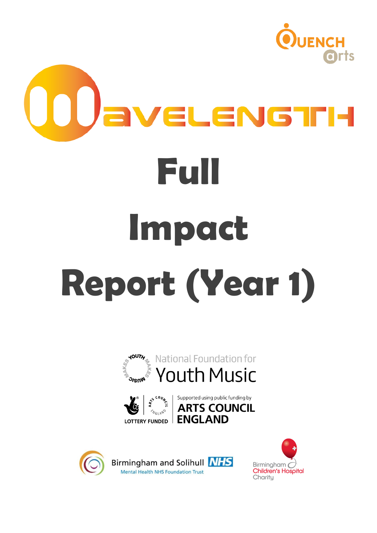

# aveLeN6TH **Full Impact Report (Year 1)**









Birmingham and Solihull NHS Mental Health NHS Foundation Trust

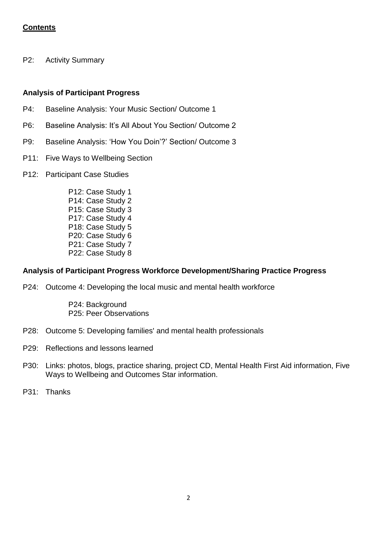## **Contents**

P2: Activity Summary

## **Analysis of Participant Progress**

- P4: Baseline Analysis: Your Music Section/ Outcome 1
- P6: Baseline Analysis: It's All About You Section/ Outcome 2
- P9: Baseline Analysis: 'How You Doin'?' Section/ Outcome 3
- P11: Five Ways to Wellbeing Section
- P12: Participant Case Studies
	- P12: Case Study 1 P14: Case Study 2 P15: Case Study 3 P17: Case Study 4 P18: Case Study 5 P20: Case Study 6 P21: Case Study 7 P22: Case Study 8

#### **Analysis of Participant Progress Workforce Development/Sharing Practice Progress**

P24: Outcome 4: Developing the local music and mental health workforce

P24: Background P25: Peer Observations

- P28: Outcome 5: Developing families' and mental health professionals
- P29: Reflections and lessons learned
- P30: Links: photos, blogs, practice sharing, project CD, Mental Health First Aid information, Five Ways to Wellbeing and Outcomes Star information.
- P31: Thanks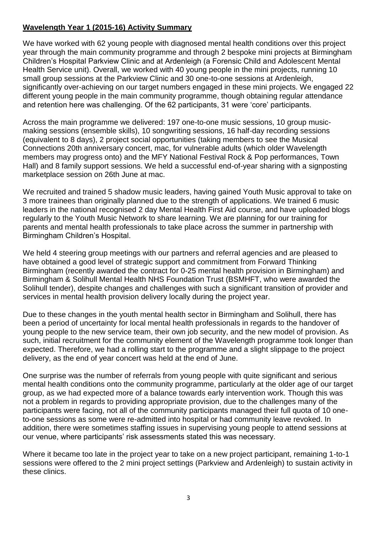# **Wavelength Year 1 (2015-16) Activity Summary**

We have worked with 62 young people with diagnosed mental health conditions over this project year through the main community programme and through 2 bespoke mini projects at Birmingham Children's Hospital Parkview Clinic and at Ardenleigh (a Forensic Child and Adolescent Mental Health Service unit). Overall, we worked with 40 young people in the mini projects, running 10 small group sessions at the Parkview Clinic and 30 one-to-one sessions at Ardenleigh, significantly over-achieving on our target numbers engaged in these mini projects. We engaged 22 different young people in the main community programme, though obtaining regular attendance and retention here was challenging. Of the 62 participants, 31 were 'core' participants.

Across the main programme we delivered: 197 one-to-one music sessions, 10 group musicmaking sessions (ensemble skills), 10 songwriting sessions, 16 half-day recording sessions (equivalent to 8 days), 2 project social opportunities (taking members to see the Musical Connections 20th anniversary concert, mac, for vulnerable adults (which older Wavelength members may progress onto) and the MFY National Festival Rock & Pop performances, Town Hall) and 8 family support sessions. We held a successful end-of-year sharing with a signposting marketplace session on 26th June at mac.

We recruited and trained 5 shadow music leaders, having gained Youth Music approval to take on 3 more trainees than originally planned due to the strength of applications. We trained 6 music leaders in the national recognised 2 day Mental Health First Aid course, and have uploaded blogs regularly to the Youth Music Network to share learning. We are planning for our training for parents and mental health professionals to take place across the summer in partnership with Birmingham Children's Hospital.

We held 4 steering group meetings with our partners and referral agencies and are pleased to have obtained a good level of strategic support and commitment from Forward Thinking Birmingham (recently awarded the contract for 0-25 mental health provision in Birmingham) and Birmingham & Solihull Mental Health NHS Foundation Trust (BSMHFT, who were awarded the Solihull tender), despite changes and challenges with such a significant transition of provider and services in mental health provision delivery locally during the project year.

Due to these changes in the youth mental health sector in Birmingham and Solihull, there has been a period of uncertainty for local mental health professionals in regards to the handover of young people to the new service team, their own job security, and the new model of provision. As such, initial recruitment for the community element of the Wavelength programme took longer than expected. Therefore, we had a rolling start to the programme and a slight slippage to the project delivery, as the end of year concert was held at the end of June.

One surprise was the number of referrals from young people with quite significant and serious mental health conditions onto the community programme, particularly at the older age of our target group, as we had expected more of a balance towards early intervention work. Though this was not a problem in regards to providing appropriate provision, due to the challenges many of the participants were facing, not all of the community participants managed their full quota of 10 oneto-one sessions as some were re-admitted into hospital or had community leave revoked. In addition, there were sometimes staffing issues in supervising young people to attend sessions at our venue, where participants' risk assessments stated this was necessary.

Where it became too late in the project year to take on a new project participant, remaining 1-to-1 sessions were offered to the 2 mini project settings (Parkview and Ardenleigh) to sustain activity in these clinics.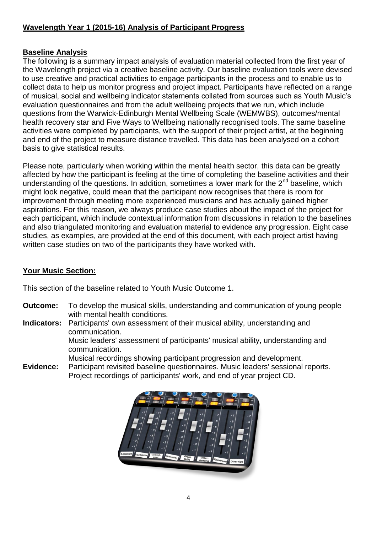# **Wavelength Year 1 (2015-16) Analysis of Participant Progress**

## **Baseline Analysis**

The following is a summary impact analysis of evaluation material collected from the first year of the Wavelength project via a creative baseline activity. Our baseline evaluation tools were devised to use creative and practical activities to engage participants in the process and to enable us to collect data to help us monitor progress and project impact. Participants have reflected on a range of musical, social and wellbeing indicator statements collated from sources such as Youth Music's evaluation questionnaires and from the adult wellbeing projects that we run, which include questions from the Warwick-Edinburgh Mental Wellbeing Scale (WEMWBS), outcomes/mental health recovery star and Five Ways to Wellbeing nationally recognised tools. The same baseline activities were completed by participants, with the support of their project artist, at the beginning and end of the project to measure distance travelled. This data has been analysed on a cohort basis to give statistical results.

Please note, particularly when working within the mental health sector, this data can be greatly affected by how the participant is feeling at the time of completing the baseline activities and their understanding of the questions. In addition, sometimes a lower mark for the  $2^{nd}$  baseline, which might look negative, could mean that the participant now recognises that there is room for improvement through meeting more experienced musicians and has actually gained higher aspirations. For this reason, we always produce case studies about the impact of the project for each participant, which include contextual information from discussions in relation to the baselines and also triangulated monitoring and evaluation material to evidence any progression. Eight case studies, as examples, are provided at the end of this document, with each project artist having written case studies on two of the participants they have worked with.

## **Your Music Section:**

This section of the baseline related to Youth Music Outcome 1.

- **Outcome:** To develop the musical skills, understanding and communication of young people with mental health conditions.
- **Indicators:** Participants' own assessment of their musical ability, understanding and communication.

Music leaders' assessment of participants' musical ability, understanding and communication.

Musical recordings showing participant progression and development.

**Evidence:** Participant revisited baseline questionnaires. Music leaders' sessional reports. Project recordings of participants' work, and end of year project CD.

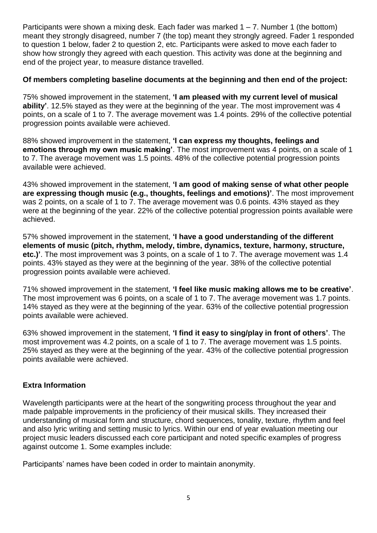Participants were shown a mixing desk. Each fader was marked  $1 - 7$ . Number 1 (the bottom) meant they strongly disagreed, number 7 (the top) meant they strongly agreed. Fader 1 responded to question 1 below, fader 2 to question 2, etc. Participants were asked to move each fader to show how strongly they agreed with each question. This activity was done at the beginning and end of the project year, to measure distance travelled.

## **Of members completing baseline documents at the beginning and then end of the project:**

75% showed improvement in the statement, **'I am pleased with my current level of musical ability'**. 12.5% stayed as they were at the beginning of the year. The most improvement was 4 points, on a scale of 1 to 7. The average movement was 1.4 points. 29% of the collective potential progression points available were achieved.

88% showed improvement in the statement, **'I can express my thoughts, feelings and emotions through my own music making'**. The most improvement was 4 points, on a scale of 1 to 7. The average movement was 1.5 points. 48% of the collective potential progression points available were achieved.

43% showed improvement in the statement, **'I am good of making sense of what other people are expressing though music (e.g., thoughts, feelings and emotions)'**. The most improvement was 2 points, on a scale of 1 to 7. The average movement was 0.6 points. 43% stayed as they were at the beginning of the year. 22% of the collective potential progression points available were achieved.

57% showed improvement in the statement, **'I have a good understanding of the different elements of music (pitch, rhythm, melody, timbre, dynamics, texture, harmony, structure, etc.)'**. The most improvement was 3 points, on a scale of 1 to 7. The average movement was 1.4 points. 43% stayed as they were at the beginning of the year. 38% of the collective potential progression points available were achieved.

71% showed improvement in the statement, **'I feel like music making allows me to be creative'**. The most improvement was 6 points, on a scale of 1 to 7. The average movement was 1.7 points. 14% stayed as they were at the beginning of the year. 63% of the collective potential progression points available were achieved.

63% showed improvement in the statement, **'I find it easy to sing/play in front of others'**. The most improvement was 4.2 points, on a scale of 1 to 7. The average movement was 1.5 points. 25% stayed as they were at the beginning of the year. 43% of the collective potential progression points available were achieved.

## **Extra Information**

Wavelength participants were at the heart of the songwriting process throughout the year and made palpable improvements in the proficiency of their musical skills. They increased their understanding of musical form and structure, chord sequences, tonality, texture, rhythm and feel and also lyric writing and setting music to lyrics. Within our end of year evaluation meeting our project music leaders discussed each core participant and noted specific examples of progress against outcome 1. Some examples include:

Participants' names have been coded in order to maintain anonymity.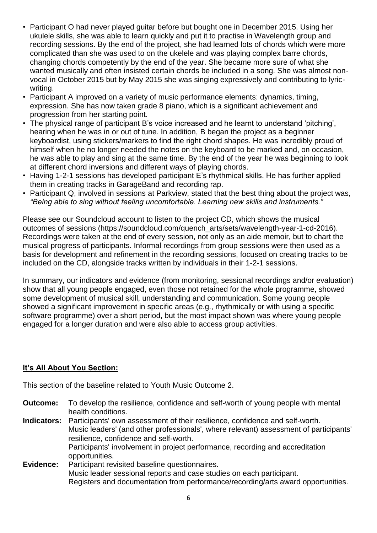- Participant O had never played guitar before but bought one in December 2015. Using her ukulele skills, she was able to learn quickly and put it to practise in Wavelength group and recording sessions. By the end of the project, she had learned lots of chords which were more complicated than she was used to on the ukelele and was playing complex barre chords, changing chords competently by the end of the year. She became more sure of what she wanted musically and often insisted certain chords be included in a song. She was almost nonvocal in October 2015 but by May 2015 she was singing expressively and contributing to lyricwriting.
- Participant A improved on a variety of music performance elements: dynamics, timing, expression. She has now taken grade 8 piano, which is a significant achievement and progression from her starting point.
- The physical range of participant B's voice increased and he learnt to understand 'pitching', hearing when he was in or out of tune. In addition, B began the project as a beginner keyboardist, using stickers/markers to find the right chord shapes. He was incredibly proud of himself when he no longer needed the notes on the keyboard to be marked and, on occasion, he was able to play and sing at the same time. By the end of the year he was beginning to look at different chord inversions and different ways of playing chords.
- Having 1-2-1 sessions has developed participant E's rhythmical skills. He has further applied them in creating tracks in GarageBand and recording rap.
- Participant Q, involved in sessions at Parkview, stated that the best thing about the project was, *"Being able to sing without feeling uncomfortable. Learning new skills and instruments."*

Please see our Soundcloud account to listen to the project CD, which shows the musical outcomes of sessions (https://soundcloud.com/quench\_arts/sets/wavelength-year-1-cd-2016). Recordings were taken at the end of every session, not only as an aide memoir, but to chart the musical progress of participants. Informal recordings from group sessions were then used as a basis for development and refinement in the recording sessions, focused on creating tracks to be included on the CD, alongside tracks written by individuals in their 1-2-1 sessions.

In summary, our indicators and evidence (from monitoring, sessional recordings and/or evaluation) show that all young people engaged, even those not retained for the whole programme, showed some development of musical skill, understanding and communication. Some young people showed a significant improvement in specific areas (e.g., rhythmically or with using a specific software programme) over a short period, but the most impact shown was where young people engaged for a longer duration and were also able to access group activities.

## **It's All About You Section:**

This section of the baseline related to Youth Music Outcome 2.

**Outcome:** To develop the resilience, confidence and self-worth of young people with mental health conditions.

**Indicators:** Participants' own assessment of their resilience, confidence and self‐worth. Music leaders' (and other professionals', where relevant) assessment of participants' resilience, confidence and self‐worth. Participants' involvement in project performance, recording and accreditation opportunities. **Evidence:** Participant revisited baseline questionnaires. Music leader sessional reports and case studies on each participant.

Registers and documentation from performance/recording/arts award opportunities.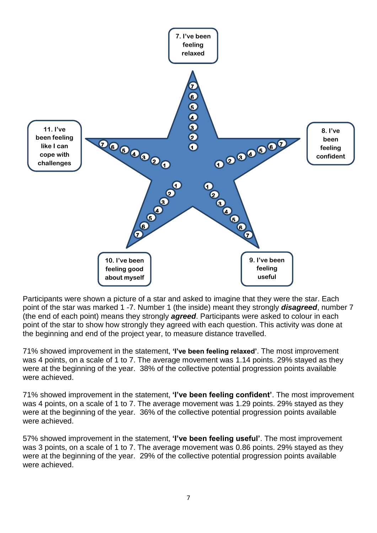

Participants were shown a picture of a star and asked to imagine that they were the star. Each point of the star was marked 1 -7. Number 1 (the inside) meant they strongly *disagreed*, number 7 (the end of each point) means they strongly *agreed*. Participants were asked to colour in each point of the star to show how strongly they agreed with each question. This activity was done at the beginning and end of the project year, to measure distance travelled.

71% showed improvement in the statement, **'I've been feeling relaxed'**. The most improvement was 4 points, on a scale of 1 to 7. The average movement was 1.14 points. 29% stayed as they were at the beginning of the year. 38% of the collective potential progression points available were achieved.

71% showed improvement in the statement, **'I've been feeling confident'**. The most improvement was 4 points, on a scale of 1 to 7. The average movement was 1.29 points. 29% stayed as they were at the beginning of the year. 36% of the collective potential progression points available were achieved.

57% showed improvement in the statement, **'I've been feeling useful'**. The most improvement was 3 points, on a scale of 1 to 7. The average movement was 0.86 points. 29% stayed as they were at the beginning of the year. 29% of the collective potential progression points available were achieved.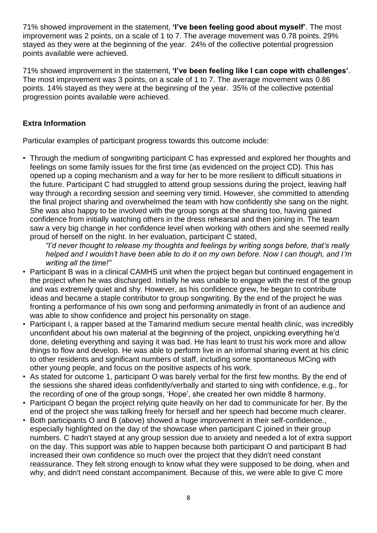71% showed improvement in the statement, **'I've been feeling good about myself'**. The most improvement was 2 points, on a scale of 1 to 7. The average movement was 0.78 points. 29% stayed as they were at the beginning of the year. 24% of the collective potential progression points available were achieved.

71% showed improvement in the statement, **'I've been feeling like I can cope with challenges'**. The most improvement was 3 points, on a scale of 1 to 7. The average movement was 0.86 points. 14% stayed as they were at the beginning of the year. 35% of the collective potential progression points available were achieved.

## **Extra Information**

Particular examples of participant progress towards this outcome include:

• Through the medium of songwriting participant C has expressed and explored her thoughts and feelings on some family issues for the first time (as evidenced on the project CD). This has opened up a coping mechanism and a way for her to be more resilient to difficult situations in the future. Participant C had struggled to attend group sessions during the project, leaving half way through a recording session and seeming very timid. However, she committed to attending the final project sharing and overwhelmed the team with how confidently she sang on the night. She was also happy to be involved with the group songs at the sharing too, having gained confidence from initially watching others in the dress rehearsal and then joining in. The team saw a very big change in her confidence level when working with others and she seemed really proud of herself on the night. In her evaluation, participant C stated,

*"I'd never thought to release my thoughts and feelings by writing songs before, that's really helped and I wouldn't have been able to do it on my own before. Now I can though, and I'm writing all the time!"*

- Participant B was in a clinical CAMHS unit when the project began but continued engagement in the project when he was discharged. Initially he was unable to engage with the rest of the group and was extremely quiet and shy. However, as his confidence grew, he began to contribute ideas and became a staple contributor to group songwriting. By the end of the project he was fronting a performance of his own song and performing animatedly in front of an audience and was able to show confidence and project his personality on stage.
- Participant I, a rapper based at the Tamarind medium secure mental health clinic, was incredibly unconfident about his own material at the beginning of the project, unpicking everything he'd done, deleting everything and saying it was bad. He has leant to trust his work more and allow things to flow and develop. He was able to perform live in an informal sharing event at his clinic to other residents and significant numbers of staff, including some spontaneous MCing with other young people, and focus on the positive aspects of his work.
- As stated for outcome 1, participant O was barely verbal for the first few months. By the end of the sessions she shared ideas confidently/verbally and started to sing with confidence, e.g., for the recording of one of the group songs, 'Hope', she created her own middle 8 harmony.
- Participant O began the project relying quite heavily on her dad to communicate for her. By the end of the project she was talking freely for herself and her speech had become much clearer.
- Both participants O and B (above) showed a huge improvement in their self-confidence., especially highlighted on the day of the showcase when participant C joined in their group numbers. C hadn't stayed at any group session due to anxiety and needed a lot of extra support on the day. This support was able to happen because both participant O and participant B had increased their own confidence so much over the project that they didn't need constant reassurance. They felt strong enough to know what they were supposed to be doing, when and why, and didn't need constant accompaniment. Because of this, we were able to give C more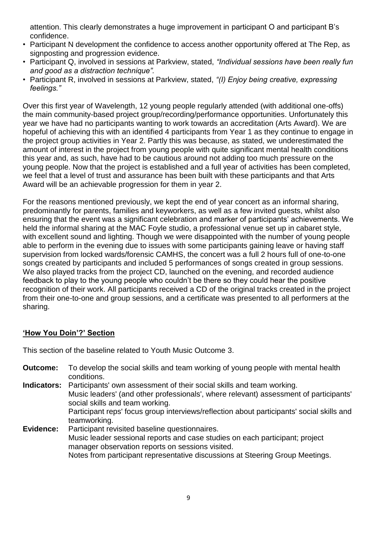attention. This clearly demonstrates a huge improvement in participant O and participant B's confidence.

- Participant N development the confidence to access another opportunity offered at The Rep, as signposting and progression evidence.
- Participant Q, involved in sessions at Parkview, stated, *"Individual sessions have been really fun and good as a distraction technique".*
- Participant R, involved in sessions at Parkview, stated, *"(I) Enjoy being creative, expressing feelings."*

Over this first year of Wavelength, 12 young people regularly attended (with additional one-offs) the main community-based project group/recording/performance opportunities. Unfortunately this year we have had no participants wanting to work towards an accreditation (Arts Award). We are hopeful of achieving this with an identified 4 participants from Year 1 as they continue to engage in the project group activities in Year 2. Partly this was because, as stated, we underestimated the amount of interest in the project from young people with quite significant mental health conditions this year and, as such, have had to be cautious around not adding too much pressure on the young people. Now that the project is established and a full year of activities has been completed, we feel that a level of trust and assurance has been built with these participants and that Arts Award will be an achievable progression for them in year 2.

For the reasons mentioned previously, we kept the end of year concert as an informal sharing, predominantly for parents, families and keyworkers, as well as a few invited guests, whilst also ensuring that the event was a significant celebration and marker of participants' achievements. We held the informal sharing at the MAC Foyle studio, a professional venue set up in cabaret style, with excellent sound and lighting. Though we were disappointed with the number of young people able to perform in the evening due to issues with some participants gaining leave or having staff supervision from locked wards/forensic CAMHS, the concert was a full 2 hours full of one-to-one songs created by participants and included 5 performances of songs created in group sessions. We also played tracks from the project CD, launched on the evening, and recorded audience feedback to play to the young people who couldn't be there so they could hear the positive recognition of their work. All participants received a CD of the original tracks created in the project from their one-to-one and group sessions, and a certificate was presented to all performers at the sharing.

## **'How You Doin'?' Section**

This section of the baseline related to Youth Music Outcome 3.

**Outcome:** To develop the social skills and team working of young people with mental health conditions. **Indicators:** Participants' own assessment of their social skills and team working. Music leaders' (and other professionals', where relevant) assessment of participants' social skills and team working. Participant reps' focus group interviews/reflection about participants' social skills and teamworking. **Evidence:** Participant revisited baseline questionnaires. Music leader sessional reports and case studies on each participant; project manager observation reports on sessions visited. Notes from participant representative discussions at Steering Group Meetings.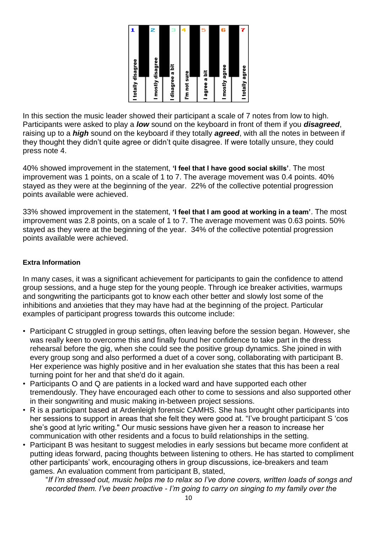| I totally disagree | 2<br>I mostly disagree | з<br>I disagree a bit | 4            | 5             | в<br>I mostly agree | I totally agree |
|--------------------|------------------------|-----------------------|--------------|---------------|---------------------|-----------------|
|                    |                        |                       | I'm not sure | l agree a bit |                     |                 |

In this section the music leader showed their participant a scale of 7 notes from low to high. Participants were asked to play a *low* sound on the keyboard in front of them if you *disagreed*, raising up to a *high* sound on the keyboard if they totally *agreed*, with all the notes in between if they thought they didn't quite agree or didn't quite disagree. If were totally unsure, they could press note 4.

40% showed improvement in the statement, **'I feel that I have good social skills'**. The most improvement was 1 points, on a scale of 1 to 7. The average movement was 0.4 points. 40% stayed as they were at the beginning of the year. 22% of the collective potential progression points available were achieved.

33% showed improvement in the statement, **'I feel that I am good at working in a team'**. The most improvement was 2.8 points, on a scale of 1 to 7. The average movement was 0.63 points. 50% stayed as they were at the beginning of the year. 34% of the collective potential progression points available were achieved.

## **Extra Information**

In many cases, it was a significant achievement for participants to gain the confidence to attend group sessions, and a huge step for the young people. Through ice breaker activities, warmups and songwriting the participants got to know each other better and slowly lost some of the inhibitions and anxieties that they may have had at the beginning of the project. Particular examples of participant progress towards this outcome include:

- Participant C struggled in group settings, often leaving before the session began. However, she was really keen to overcome this and finally found her confidence to take part in the dress rehearsal before the gig, when she could see the positive group dynamics. She joined in with every group song and also performed a duet of a cover song, collaborating with participant B. Her experience was highly positive and in her evaluation she states that this has been a real turning point for her and that she'd do it again.
- Participants O and Q are patients in a locked ward and have supported each other tremendously. They have encouraged each other to come to sessions and also supported other in their songwriting and music making in-between project sessions.
- R is a participant based at Ardenleigh forensic CAMHS. She has brought other participants into her sessions to support in areas that she felt they were good at. "I've brought participant S 'cos she's good at lyric writing." Our music sessions have given her a reason to increase her communication with other residents and a focus to build relationships in the setting.
- Participant B was hesitant to suggest melodies in early sessions but became more confident at putting ideas forward, pacing thoughts between listening to others. He has started to compliment other participants' work, encouraging others in group discussions, ice-breakers and team games. An evaluation comment from participant B, stated,

"*If I'm stressed out, music helps me to relax so I've done covers, written loads of songs and recorded them. I've been proactive - I'm going to carry on singing to my family over the*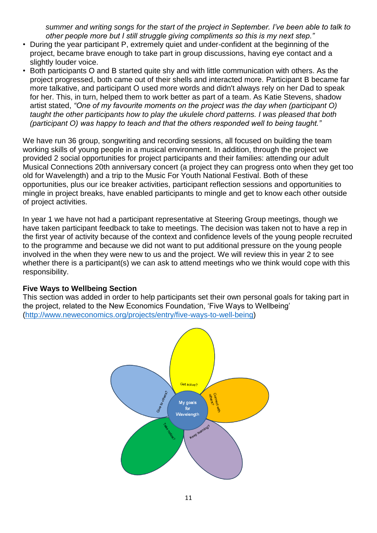*summer and writing songs for the start of the project in September. I've been able to talk to other people more but I still struggle giving compliments so this is my next step."* 

- During the year participant P, extremely quiet and under-confident at the beginning of the project, became brave enough to take part in group discussions, having eye contact and a slightly louder voice.
- Both participants O and B started quite shy and with little communication with others. As the project progressed, both came out of their shells and interacted more. Participant B became far more talkative, and participant O used more words and didn't always rely on her Dad to speak for her. This, in turn, helped them to work better as part of a team. As Katie Stevens, shadow artist stated, *"One of my favourite moments on the project was the day when (participant O) taught the other participants how to play the ukulele chord patterns. I was pleased that both (participant O) was happy to teach and that the others responded well to being taught."*

We have run 36 group, songwriting and recording sessions, all focused on building the team working skills of young people in a musical environment. In addition, through the project we provided 2 social opportunities for project participants and their families: attending our adult Musical Connections 20th anniversary concert (a project they can progress onto when they get too old for Wavelength) and a trip to the Music For Youth National Festival. Both of these opportunities, plus our ice breaker activities, participant reflection sessions and opportunities to mingle in project breaks, have enabled participants to mingle and get to know each other outside of project activities.

In year 1 we have not had a participant representative at Steering Group meetings, though we have taken participant feedback to take to meetings. The decision was taken not to have a rep in the first year of activity because of the context and confidence levels of the young people recruited to the programme and because we did not want to put additional pressure on the young people involved in the when they were new to us and the project. We will review this in year 2 to see whether there is a participant(s) we can ask to attend meetings who we think would cope with this responsibility.

#### **Five Ways to Wellbeing Section**

This section was added in order to help participants set their own personal goals for taking part in the project, related to the New Economics Foundation, 'Five Ways to Wellbeing' [\(http://www.neweconomics.org/projects/entry/five-ways-to-well-being\)](http://www.neweconomics.org/projects/entry/five-ways-to-well-being)

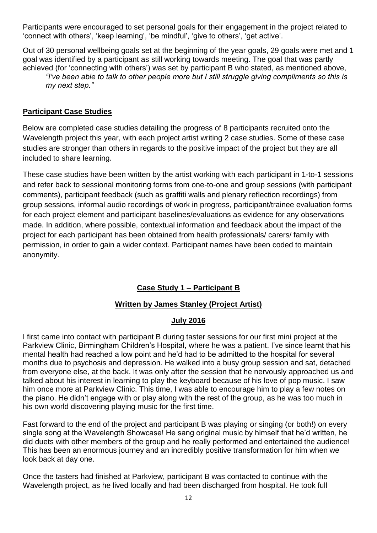Participants were encouraged to set personal goals for their engagement in the project related to 'connect with others', 'keep learning', 'be mindful', 'give to others', 'get active'.

Out of 30 personal wellbeing goals set at the beginning of the year goals, 29 goals were met and 1 goal was identified by a participant as still working towards meeting. The goal that was partly achieved (for 'connecting with others') was set by participant B who stated, as mentioned above, *"I've been able to talk to other people more but I still struggle giving compliments so this is my next step."*

# **Participant Case Studies**

Below are completed case studies detailing the progress of 8 participants recruited onto the Wavelength project this year, with each project artist writing 2 case studies. Some of these case studies are stronger than others in regards to the positive impact of the project but they are all included to share learning.

These case studies have been written by the artist working with each participant in 1-to-1 sessions and refer back to sessional monitoring forms from one-to-one and group sessions (with participant comments), participant feedback (such as graffiti walls and plenary reflection recordings) from group sessions, informal audio recordings of work in progress, participant/trainee evaluation forms for each project element and participant baselines/evaluations as evidence for any observations made. In addition, where possible, contextual information and feedback about the impact of the project for each participant has been obtained from health professionals/ carers/ family with permission, in order to gain a wider context. Participant names have been coded to maintain anonymity.

# **Case Study 1 – Participant B**

## **Written by James Stanley (Project Artist)**

## **July 2016**

I first came into contact with participant B during taster sessions for our first mini project at the Parkview Clinic, Birmingham Children's Hospital, where he was a patient. I've since learnt that his mental health had reached a low point and he'd had to be admitted to the hospital for several months due to psychosis and depression. He walked into a busy group session and sat, detached from everyone else, at the back. It was only after the session that he nervously approached us and talked about his interest in learning to play the keyboard because of his love of pop music. I saw him once more at Parkview Clinic. This time, I was able to encourage him to play a few notes on the piano. He didn't engage with or play along with the rest of the group, as he was too much in his own world discovering playing music for the first time.

Fast forward to the end of the project and participant B was playing or singing (or both!) on every single song at the Wavelength Showcase! He sang original music by himself that he'd written, he did duets with other members of the group and he really performed and entertained the audience! This has been an enormous journey and an incredibly positive transformation for him when we look back at day one.

Once the tasters had finished at Parkview, participant B was contacted to continue with the Wavelength project, as he lived locally and had been discharged from hospital. He took full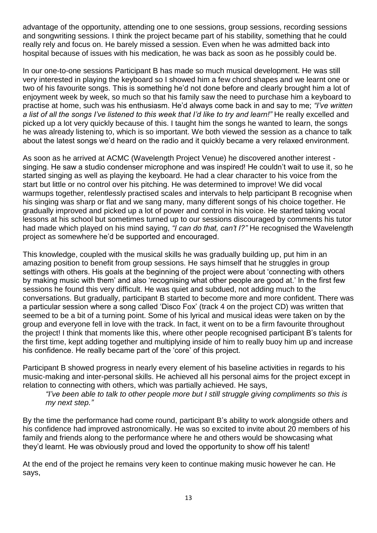advantage of the opportunity, attending one to one sessions, group sessions, recording sessions and songwriting sessions. I think the project became part of his stability, something that he could really rely and focus on. He barely missed a session. Even when he was admitted back into hospital because of issues with his medication, he was back as soon as he possibly could be.

In our one-to-one sessions Participant B has made so much musical development. He was still very interested in playing the keyboard so I showed him a few chord shapes and we learnt one or two of his favourite songs. This is something he'd not done before and clearly brought him a lot of enjoyment week by week, so much so that his family saw the need to purchase him a keyboard to practise at home, such was his enthusiasm. He'd always come back in and say to me; *"I've written a list of all the songs I've listened to this week that I'd like to try and learn!"* He really excelled and picked up a lot very quickly because of this. I taught him the songs he wanted to learn, the songs he was already listening to, which is so important. We both viewed the session as a chance to talk about the latest songs we'd heard on the radio and it quickly became a very relaxed environment.

As soon as he arrived at ACMC (Wavelength Project Venue) he discovered another interest singing. He saw a studio condenser microphone and was inspired! He couldn't wait to use it, so he started singing as well as playing the keyboard. He had a clear character to his voice from the start but little or no control over his pitching. He was determined to improve! We did vocal warmups together, relentlessly practised scales and intervals to help participant B recognise when his singing was sharp or flat and we sang many, many different songs of his choice together. He gradually improved and picked up a lot of power and control in his voice. He started taking vocal lessons at his school but sometimes turned up to our sessions discouraged by comments his tutor had made which played on his mind saying, *"I can do that, can't I?"* He recognised the Wavelength project as somewhere he'd be supported and encouraged.

This knowledge, coupled with the musical skills he was gradually building up, put him in an amazing position to benefit from group sessions. He says himself that he struggles in group settings with others. His goals at the beginning of the project were about 'connecting with others by making music with them' and also 'recognising what other people are good at.' In the first few sessions he found this very difficult. He was quiet and subdued, not adding much to the conversations. But gradually, participant B started to become more and more confident. There was a particular session where a song called 'Disco Fox' (track 4 on the project CD) was written that seemed to be a bit of a turning point. Some of his lyrical and musical ideas were taken on by the group and everyone fell in love with the track. In fact, it went on to be a firm favourite throughout the project! I think that moments like this, where other people recognised participant B's talents for the first time, kept adding together and multiplying inside of him to really buoy him up and increase his confidence. He really became part of the 'core' of this project.

Participant B showed progress in nearly every element of his baseline activities in regards to his music-making and inter-personal skills. He achieved all his personal aims for the project except in relation to connecting with others, which was partially achieved. He says,

*"I've been able to talk to other people more but I still struggle giving compliments so this is my next step."*

By the time the performance had come round, participant B's ability to work alongside others and his confidence had improved astronomically. He was so excited to invite about 20 members of his family and friends along to the performance where he and others would be showcasing what they'd learnt. He was obviously proud and loved the opportunity to show off his talent!

At the end of the project he remains very keen to continue making music however he can. He says,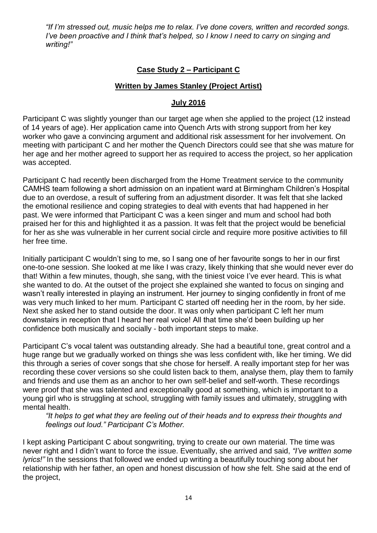*"If I'm stressed out, music helps me to relax. I've done covers, written and recorded songs. I've been proactive and I think that's helped, so I know I need to carry on singing and writing!"*

## **Case Study 2 – Participant C**

## **Written by James Stanley (Project Artist)**

## **July 2016**

Participant C was slightly younger than our target age when she applied to the project (12 instead of 14 years of age). Her application came into Quench Arts with strong support from her key worker who gave a convincing argument and additional risk assessment for her involvement. On meeting with participant C and her mother the Quench Directors could see that she was mature for her age and her mother agreed to support her as required to access the project, so her application was accepted.

Participant C had recently been discharged from the Home Treatment service to the community CAMHS team following a short admission on an inpatient ward at Birmingham Children's Hospital due to an overdose, a result of suffering from an adjustment disorder. It was felt that she lacked the emotional resilience and coping strategies to deal with events that had happened in her past. We were informed that Participant C was a keen singer and mum and school had both praised her for this and highlighted it as a passion. It was felt that the project would be beneficial for her as she was vulnerable in her current social circle and require more positive activities to fill her free time.

Initially participant C wouldn't sing to me, so I sang one of her favourite songs to her in our first one-to-one session. She looked at me like I was crazy, likely thinking that she would never ever do that! Within a few minutes, though, she sang, with the tiniest voice I've ever heard. This is what she wanted to do. At the outset of the project she explained she wanted to focus on singing and wasn't really interested in playing an instrument. Her journey to singing confidently in front of me was very much linked to her mum. Participant C started off needing her in the room, by her side. Next she asked her to stand outside the door. It was only when participant C left her mum downstairs in reception that I heard her real voice! All that time she'd been building up her confidence both musically and socially - both important steps to make.

Participant C's vocal talent was outstanding already. She had a beautiful tone, great control and a huge range but we gradually worked on things she was less confident with, like her timing. We did this through a series of cover songs that she chose for herself. A really important step for her was recording these cover versions so she could listen back to them, analyse them, play them to family and friends and use them as an anchor to her own self-belief and self-worth. These recordings were proof that she was talented and exceptionally good at something, which is important to a young girl who is struggling at school, struggling with family issues and ultimately, struggling with mental health.

*"It helps to get what they are feeling out of their heads and to express their thoughts and feelings out loud." Participant C's Mother.*

I kept asking Participant C about songwriting, trying to create our own material. The time was never right and I didn't want to force the issue. Eventually, she arrived and said, *"I've written some lyrics!"* In the sessions that followed we ended up writing a beautifully touching song about her relationship with her father, an open and honest discussion of how she felt. She said at the end of the project,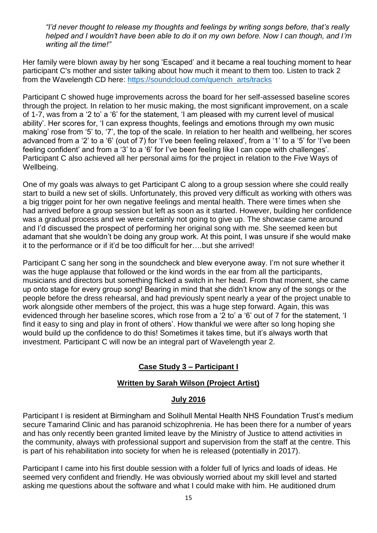*"I'd never thought to release my thoughts and feelings by writing songs before, that's really helped and I wouldn't have been able to do it on my own before. Now I can though, and I'm writing all the time!"*

Her family were blown away by her song 'Escaped' and it became a real touching moment to hear participant C's mother and sister talking about how much it meant to them too. Listen to track 2 from the Wavelength CD here: [https://soundcloud.com/quench\\_arts/tracks](https://soundcloud.com/quench_arts/tracks)

Participant C showed huge improvements across the board for her self-assessed baseline scores through the project. In relation to her music making, the most significant improvement, on a scale of 1-7, was from a '2 to' a '6' for the statement, 'I am pleased with my current level of musical ability'. Her scores for, 'I can express thoughts, feelings and emotions through my own music making' rose from '5' to, '7', the top of the scale. In relation to her health and wellbeing, her scores advanced from a '2' to a '6' (out of 7) for 'I've been feeling relaxed', from a '1' to a '5' for 'I've been feeling confident' and from a '3' to a '6' for I've been feeling like I can cope with challenges'. Participant C also achieved all her personal aims for the project in relation to the Five Ways of Wellbeing.

One of my goals was always to get Participant C along to a group session where she could really start to build a new set of skills. Unfortunately, this proved very difficult as working with others was a big trigger point for her own negative feelings and mental health. There were times when she had arrived before a group session but left as soon as it started. However, building her confidence was a gradual process and we were certainly not going to give up. The showcase came around and I'd discussed the prospect of performing her original song with me. She seemed keen but adamant that she wouldn't be doing any group work. At this point, I was unsure if she would make it to the performance or if it'd be too difficult for her….but she arrived!

Participant C sang her song in the soundcheck and blew everyone away. I'm not sure whether it was the huge applause that followed or the kind words in the ear from all the participants, musicians and directors but something flicked a switch in her head. From that moment, she came up onto stage for every group song! Bearing in mind that she didn't know any of the songs or the people before the dress rehearsal, and had previously spent nearly a year of the project unable to work alongside other members of the project, this was a huge step forward. Again, this was evidenced through her baseline scores, which rose from a '2 to' a '6' out of 7 for the statement, 'I find it easy to sing and play in front of others'. How thankful we were after so long hoping she would build up the confidence to do this! Sometimes it takes time, but it's always worth that investment. Participant C will now be an integral part of Wavelength year 2.

# **Case Study 3 – Participant I**

## **Written by Sarah Wilson (Project Artist)**

#### **July 2016**

Participant I is resident at Birmingham and Solihull Mental Health NHS Foundation Trust's medium secure Tamarind Clinic and has paranoid schizophrenia. He has been there for a number of years and has only recently been granted limited leave by the Ministry of Justice to attend activities in the community, always with professional support and supervision from the staff at the centre. This is part of his rehabilitation into society for when he is released (potentially in 2017).

Participant I came into his first double session with a folder full of lyrics and loads of ideas. He seemed very confident and friendly. He was obviously worried about my skill level and started asking me questions about the software and what I could make with him. He auditioned drum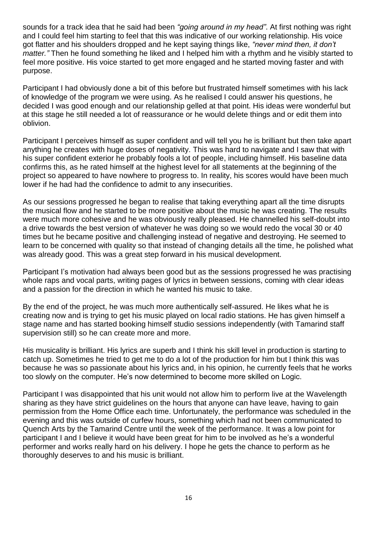sounds for a track idea that he said had been *"going around in my head"*. At first nothing was right and I could feel him starting to feel that this was indicative of our working relationship. His voice got flatter and his shoulders dropped and he kept saying things like, *"never mind then, it don't matter."* Then he found something he liked and I helped him with a rhythm and he visibly started to feel more positive. His voice started to get more engaged and he started moving faster and with purpose.

Participant I had obviously done a bit of this before but frustrated himself sometimes with his lack of knowledge of the program we were using. As he realised I could answer his questions, he decided I was good enough and our relationship gelled at that point. His ideas were wonderful but at this stage he still needed a lot of reassurance or he would delete things and or edit them into oblivion.

Participant I perceives himself as super confident and will tell you he is brilliant but then take apart anything he creates with huge doses of negativity. This was hard to navigate and I saw that with his super confident exterior he probably fools a lot of people, including himself. His baseline data confirms this, as he rated himself at the highest level for all statements at the beginning of the project so appeared to have nowhere to progress to. In reality, his scores would have been much lower if he had had the confidence to admit to any insecurities.

As our sessions progressed he began to realise that taking everything apart all the time disrupts the musical flow and he started to be more positive about the music he was creating. The results were much more cohesive and he was obviously really pleased. He channelled his self-doubt into a drive towards the best version of whatever he was doing so we would redo the vocal 30 or 40 times but he became positive and challenging instead of negative and destroying. He seemed to learn to be concerned with quality so that instead of changing details all the time, he polished what was already good. This was a great step forward in his musical development.

Participant I's motivation had always been good but as the sessions progressed he was practising whole raps and vocal parts, writing pages of lyrics in between sessions, coming with clear ideas and a passion for the direction in which he wanted his music to take.

By the end of the project, he was much more authentically self-assured. He likes what he is creating now and is trying to get his music played on local radio stations. He has given himself a stage name and has started booking himself studio sessions independently (with Tamarind staff supervision still) so he can create more and more.

His musicality is brilliant. His lyrics are superb and I think his skill level in production is starting to catch up. Sometimes he tried to get me to do a lot of the production for him but I think this was because he was so passionate about his lyrics and, in his opinion, he currently feels that he works too slowly on the computer. He's now determined to become more skilled on Logic.

Participant I was disappointed that his unit would not allow him to perform live at the Wavelength sharing as they have strict guidelines on the hours that anyone can have leave, having to gain permission from the Home Office each time. Unfortunately, the performance was scheduled in the evening and this was outside of curfew hours, something which had not been communicated to Quench Arts by the Tamarind Centre until the week of the performance. It was a low point for participant I and I believe it would have been great for him to be involved as he's a wonderful performer and works really hard on his delivery. I hope he gets the chance to perform as he thoroughly deserves to and his music is brilliant.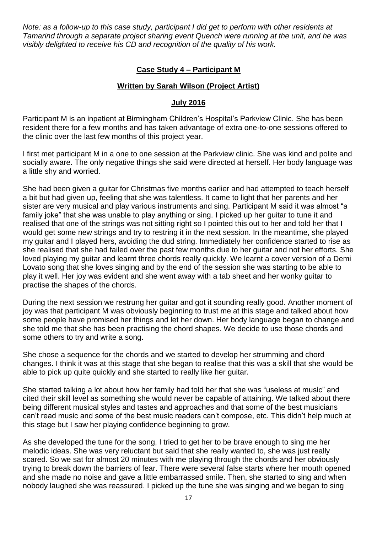*Note: as a follow-up to this case study, participant I did get to perform with other residents at Tamarind through a separate project sharing event Quench were running at the unit, and he was visibly delighted to receive his CD and recognition of the quality of his work.*

## **Case Study 4 – Participant M**

## **Written by Sarah Wilson (Project Artist)**

#### **July 2016**

Participant M is an inpatient at Birmingham Children's Hospital's Parkview Clinic. She has been resident there for a few months and has taken advantage of extra one-to-one sessions offered to the clinic over the last few months of this project year.

I first met participant M in a one to one session at the Parkview clinic. She was kind and polite and socially aware. The only negative things she said were directed at herself. Her body language was a little shy and worried.

She had been given a guitar for Christmas five months earlier and had attempted to teach herself a bit but had given up, feeling that she was talentless. It came to light that her parents and her sister are very musical and play various instruments and sing. Participant M said it was almost "a family joke" that she was unable to play anything or sing. I picked up her guitar to tune it and realised that one of the strings was not sitting right so I pointed this out to her and told her that I would get some new strings and try to restring it in the next session. In the meantime, she played my guitar and I played hers, avoiding the dud string. Immediately her confidence started to rise as she realised that she had failed over the past few months due to her guitar and not her efforts. She loved playing my guitar and learnt three chords really quickly. We learnt a cover version of a Demi Lovato song that she loves singing and by the end of the session she was starting to be able to play it well. Her joy was evident and she went away with a tab sheet and her wonky guitar to practise the shapes of the chords.

During the next session we restrung her guitar and got it sounding really good. Another moment of joy was that participant M was obviously beginning to trust me at this stage and talked about how some people have promised her things and let her down. Her body language began to change and she told me that she has been practising the chord shapes. We decide to use those chords and some others to try and write a song.

She chose a sequence for the chords and we started to develop her strumming and chord changes. I think it was at this stage that she began to realise that this was a skill that she would be able to pick up quite quickly and she started to really like her guitar.

She started talking a lot about how her family had told her that she was "useless at music" and cited their skill level as something she would never be capable of attaining. We talked about there being different musical styles and tastes and approaches and that some of the best musicians can't read music and some of the best music readers can't compose, etc. This didn't help much at this stage but I saw her playing confidence beginning to grow.

As she developed the tune for the song, I tried to get her to be brave enough to sing me her melodic ideas. She was very reluctant but said that she really wanted to, she was just really scared. So we sat for almost 20 minutes with me playing through the chords and her obviously trying to break down the barriers of fear. There were several false starts where her mouth opened and she made no noise and gave a little embarrassed smile. Then, she started to sing and when nobody laughed she was reassured. I picked up the tune she was singing and we began to sing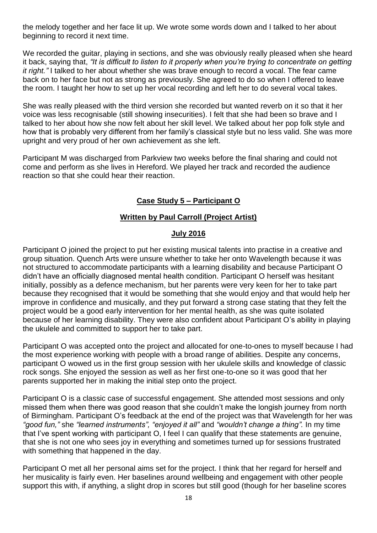the melody together and her face lit up. We wrote some words down and I talked to her about beginning to record it next time.

We recorded the guitar, playing in sections, and she was obviously really pleased when she heard it back, saying that, *"It is difficult to listen to it properly when you're trying to concentrate on getting it right."* I talked to her about whether she was brave enough to record a vocal. The fear came back on to her face but not as strong as previously. She agreed to do so when I offered to leave the room. I taught her how to set up her vocal recording and left her to do several vocal takes.

She was really pleased with the third version she recorded but wanted reverb on it so that it her voice was less recognisable (still showing insecurities). I felt that she had been so brave and I talked to her about how she now felt about her skill level. We talked about her pop folk style and how that is probably very different from her family's classical style but no less valid. She was more upright and very proud of her own achievement as she left.

Participant M was discharged from Parkview two weeks before the final sharing and could not come and perform as she lives in Hereford. We played her track and recorded the audience reaction so that she could hear their reaction.

# **Case Study 5 – Participant O**

## **Written by Paul Carroll (Project Artist)**

#### **July 2016**

Participant O joined the project to put her existing musical talents into practise in a creative and group situation. Quench Arts were unsure whether to take her onto Wavelength because it was not structured to accommodate participants with a learning disability and because Participant O didn't have an officially diagnosed mental health condition. Participant O herself was hesitant initially, possibly as a defence mechanism, but her parents were very keen for her to take part because they recognised that it would be something that she would enjoy and that would help her improve in confidence and musically, and they put forward a strong case stating that they felt the project would be a good early intervention for her mental health, as she was quite isolated because of her learning disability. They were also confident about Participant O's ability in playing the ukulele and committed to support her to take part.

Participant O was accepted onto the project and allocated for one-to-ones to myself because I had the most experience working with people with a broad range of abilities. Despite any concerns, participant O wowed us in the first group session with her ukulele skills and knowledge of classic rock songs. She enjoyed the session as well as her first one-to-one so it was good that her parents supported her in making the initial step onto the project.

Participant O is a classic case of successful engagement. She attended most sessions and only missed them when there was good reason that she couldn't make the longish journey from north of Birmingham. Participant O's feedback at the end of the project was that Wavelength for her was *"good fun,"* she *"learned instruments", "enjoyed it all"* and *"wouldn't change a thing".* In my time that I've spent working with participant O, I feel I can qualify that these statements are genuine, that she is not one who sees joy in everything and sometimes turned up for sessions frustrated with something that happened in the day.

Participant O met all her personal aims set for the project. I think that her regard for herself and her musicality is fairly even. Her baselines around wellbeing and engagement with other people support this with, if anything, a slight drop in scores but still good (though for her baseline scores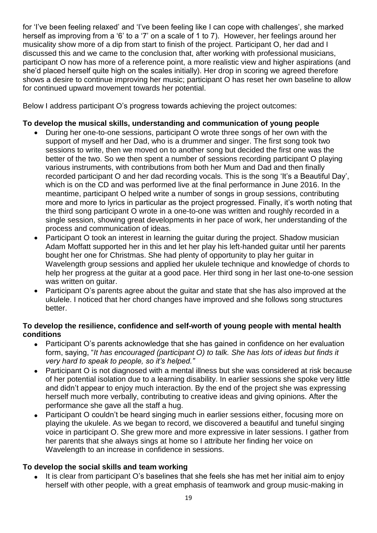for 'I've been feeling relaxed' and 'I've been feeling like I can cope with challenges', she marked herself as improving from a '6' to a '7' on a scale of 1 to 7). However, her feelings around her musicality show more of a dip from start to finish of the project. Participant O, her dad and I discussed this and we came to the conclusion that, after working with professional musicians, participant O now has more of a reference point, a more realistic view and higher aspirations (and she'd placed herself quite high on the scales initially). Her drop in scoring we agreed therefore shows a desire to continue improving her music; participant O has reset her own baseline to allow for continued upward movement towards her potential.

Below I address participant O's progress towards achieving the project outcomes:

## **To develop the musical skills, understanding and communication of young people**

- During her one-to-one sessions, participant O wrote three songs of her own with the support of myself and her Dad, who is a drummer and singer. The first song took two sessions to write, then we moved on to another song but decided the first one was the better of the two. So we then spent a number of sessions recording participant O playing various instruments, with contributions from both her Mum and Dad and then finally recorded participant O and her dad recording vocals. This is the song 'It's a Beautiful Day', which is on the CD and was performed live at the final performance in June 2016. In the meantime, participant O helped write a number of songs in group sessions, contributing more and more to lyrics in particular as the project progressed. Finally, it's worth noting that the third song participant O wrote in a one-to-one was written and roughly recorded in a single session, showing great developments in her pace of work, her understanding of the process and communication of ideas.
- Participant O took an interest in learning the quitar during the project. Shadow musician Adam Moffatt supported her in this and let her play his left-handed guitar until her parents bought her one for Christmas. She had plenty of opportunity to play her guitar in Wavelength group sessions and applied her ukulele technique and knowledge of chords to help her progress at the guitar at a good pace. Her third song in her last one-to-one session was written on guitar.
- Participant O's parents agree about the guitar and state that she has also improved at the ukulele. I noticed that her chord changes have improved and she follows song structures better.

## **To develop the resilience, confidence and self-worth of young people with mental health conditions**

- Participant O's parents acknowledge that she has gained in confidence on her evaluation form, saying, "*It has encouraged (participant O) to talk. She has lots of ideas but finds it very hard to speak to people, so it's helped."*
- Participant O is not diagnosed with a mental illness but she was considered at risk because of her potential isolation due to a learning disability. In earlier sessions she spoke very little and didn't appear to enjoy much interaction. By the end of the project she was expressing herself much more verbally, contributing to creative ideas and giving opinions. After the performance she gave all the staff a hug.
- Participant O couldn't be heard singing much in earlier sessions either, focusing more on playing the ukulele. As we began to record, we discovered a beautiful and tuneful singing voice in participant O. She grew more and more expressive in later sessions. I gather from her parents that she always sings at home so I attribute her finding her voice on Wavelength to an increase in confidence in sessions.

## **To develop the social skills and team working**

 It is clear from participant O's baselines that she feels she has met her initial aim to enjoy herself with other people, with a great emphasis of teamwork and group music-making in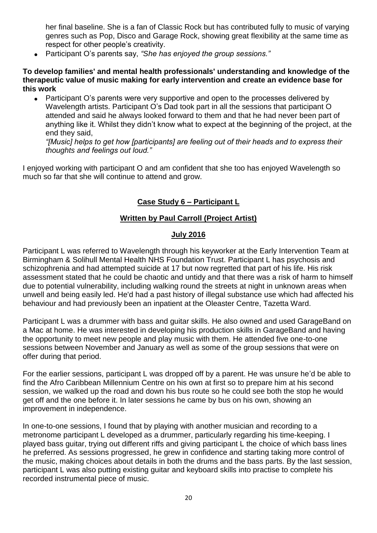her final baseline. She is a fan of Classic Rock but has contributed fully to music of varying genres such as Pop, Disco and Garage Rock, showing great flexibility at the same time as respect for other people's creativity.

Participant O's parents say, *"She has enjoyed the group sessions."*

#### **To develop families' and mental health professionals' understanding and knowledge of the therapeutic value of music making for early intervention and create an evidence base for this work**

• Participant O's parents were very supportive and open to the processes delivered by Wavelength artists. Participant O's Dad took part in all the sessions that participant O attended and said he always looked forward to them and that he had never been part of anything like it. Whilst they didn't know what to expect at the beginning of the project, at the end they said,

*"[Music] helps to get how [participants] are feeling out of their heads and to express their thoughts and feelings out loud."*

I enjoyed working with participant O and am confident that she too has enjoyed Wavelength so much so far that she will continue to attend and grow.

# **Case Study 6 – Participant L**

## **Written by Paul Carroll (Project Artist)**

## **July 2016**

Participant L was referred to Wavelength through his keyworker at the Early Intervention Team at Birmingham & Solihull Mental Health NHS Foundation Trust. Participant L has psychosis and schizophrenia and had attempted suicide at 17 but now regretted that part of his life. His risk assessment stated that he could be chaotic and untidy and that there was a risk of harm to himself due to potential vulnerability, including walking round the streets at night in unknown areas when unwell and being easily led. He'd had a past history of illegal substance use which had affected his behaviour and had previously been an inpatient at the Oleaster Centre, Tazetta Ward.

Participant L was a drummer with bass and guitar skills. He also owned and used GarageBand on a Mac at home. He was interested in developing his production skills in GarageBand and having the opportunity to meet new people and play music with them. He attended five one-to-one sessions between November and January as well as some of the group sessions that were on offer during that period.

For the earlier sessions, participant L was dropped off by a parent. He was unsure he'd be able to find the Afro Caribbean Millennium Centre on his own at first so to prepare him at his second session, we walked up the road and down his bus route so he could see both the stop he would get off and the one before it. In later sessions he came by bus on his own, showing an improvement in independence.

In one-to-one sessions, I found that by playing with another musician and recording to a metronome participant L developed as a drummer, particularly regarding his time-keeping. I played bass guitar, trying out different riffs and giving participant L the choice of which bass lines he preferred. As sessions progressed, he grew in confidence and starting taking more control of the music, making choices about details in both the drums and the bass parts. By the last session, participant L was also putting existing guitar and keyboard skills into practise to complete his recorded instrumental piece of music.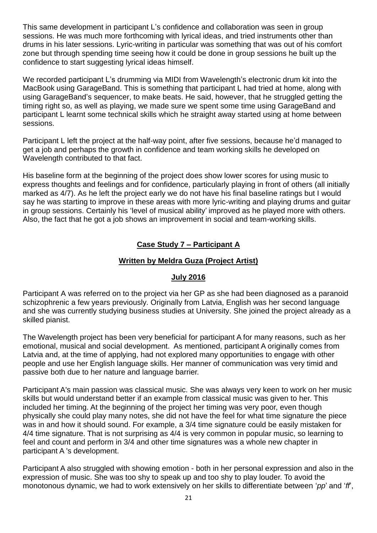This same development in participant L's confidence and collaboration was seen in group sessions. He was much more forthcoming with lyrical ideas, and tried instruments other than drums in his later sessions. Lyric-writing in particular was something that was out of his comfort zone but through spending time seeing how it could be done in group sessions he built up the confidence to start suggesting lyrical ideas himself.

We recorded participant L's drumming via MIDI from Wavelength's electronic drum kit into the MacBook using GarageBand. This is something that participant L had tried at home, along with using GarageBand's sequencer, to make beats. He said, however, that he struggled getting the timing right so, as well as playing, we made sure we spent some time using GarageBand and participant L learnt some technical skills which he straight away started using at home between sessions.

Participant L left the project at the half-way point, after five sessions, because he'd managed to get a job and perhaps the growth in confidence and team working skills he developed on Wavelength contributed to that fact.

His baseline form at the beginning of the project does show lower scores for using music to express thoughts and feelings and for confidence, particularly playing in front of others (all initially marked as 4/7). As he left the project early we do not have his final baseline ratings but I would say he was starting to improve in these areas with more lyric-writing and playing drums and guitar in group sessions. Certainly his 'level of musical ability' improved as he played more with others. Also, the fact that he got a job shows an improvement in social and team-working skills.

# **Case Study 7 – Participant A**

## **Written by Meldra Guza (Project Artist)**

#### **July 2016**

Participant A was referred on to the project via her GP as she had been diagnosed as a paranoid schizophrenic a few years previously. Originally from Latvia, English was her second language and she was currently studying business studies at University. She joined the project already as a skilled pianist.

The Wavelength project has been very beneficial for participant A for many reasons, such as her emotional, musical and social development. As mentioned, participant A originally comes from Latvia and, at the time of applying, had not explored many opportunities to engage with other people and use her English language skills. Her manner of communication was very timid and passive both due to her nature and language barrier.

Participant A's main passion was classical music. She was always very keen to work on her music skills but would understand better if an example from classical music was given to her. This included her timing. At the beginning of the project her timing was very poor, even though physically she could play many notes, she did not have the feel for what time signature the piece was in and how it should sound. For example, a 3/4 time signature could be easily mistaken for 4/4 time signature. That is not surprising as 4/4 is very common in popular music, so learning to feel and count and perform in 3/4 and other time signatures was a whole new chapter in participant A 's development.

Participant A also struggled with showing emotion - both in her personal expression and also in the expression of music. She was too shy to speak up and too shy to play louder. To avoid the monotonous dynamic, we had to work extensively on her skills to differentiate between '*pp*' and '*ff*',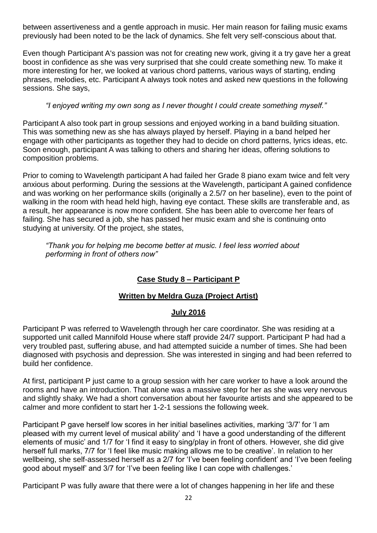between assertiveness and a gentle approach in music. Her main reason for failing music exams previously had been noted to be the lack of dynamics. She felt very self-conscious about that.

Even though Participant A's passion was not for creating new work, giving it a try gave her a great boost in confidence as she was very surprised that she could create something new. To make it more interesting for her, we looked at various chord patterns, various ways of starting, ending phrases, melodies, etc. Participant A always took notes and asked new questions in the following sessions. She says,

## *"I enjoyed writing my own song as I never thought I could create something myself."*

Participant A also took part in group sessions and enjoyed working in a band building situation. This was something new as she has always played by herself. Playing in a band helped her engage with other participants as together they had to decide on chord patterns, lyrics ideas, etc. Soon enough, participant A was talking to others and sharing her ideas, offering solutions to composition problems.

Prior to coming to Wavelength participant A had failed her Grade 8 piano exam twice and felt very anxious about performing. During the sessions at the Wavelength, participant A gained confidence and was working on her performance skills (originally a 2.5/7 on her baseline), even to the point of walking in the room with head held high, having eye contact. These skills are transferable and, as a result, her appearance is now more confident. She has been able to overcome her fears of failing. She has secured a job, she has passed her music exam and she is continuing onto studying at university. Of the project, she states,

*"Thank you for helping me become better at music. I feel less worried about performing in front of others now"*

# **Case Study 8 – Participant P**

## **Written by Meldra Guza (Project Artist)**

## **July 2016**

Participant P was referred to Wavelength through her care coordinator. She was residing at a supported unit called Mannifold House where staff provide 24/7 support. Participant P had had a very troubled past, suffering abuse, and had attempted suicide a number of times. She had been diagnosed with psychosis and depression. She was interested in singing and had been referred to build her confidence.

At first, participant P just came to a group session with her care worker to have a look around the rooms and have an introduction. That alone was a massive step for her as she was very nervous and slightly shaky. We had a short conversation about her favourite artists and she appeared to be calmer and more confident to start her 1-2-1 sessions the following week.

Participant P gave herself low scores in her initial baselines activities, marking '3/7' for 'I am pleased with my current level of musical ability' and 'I have a good understanding of the different elements of music' and 1/7 for 'I find it easy to sing/play in front of others. However, she did give herself full marks, 7/7 for 'I feel like music making allows me to be creative'. In relation to her wellbeing, she self-assessed herself as a 2/7 for 'I've been feeling confident' and 'I've been feeling good about myself' and 3/7 for 'I've been feeling like I can cope with challenges.'

Participant P was fully aware that there were a lot of changes happening in her life and these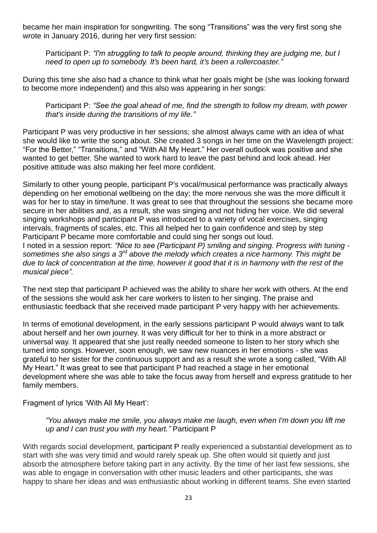became her main inspiration for songwriting. The song "Transitions" was the very first song she wrote in January 2016, during her very first session:

Participant P: *"I'm struggling to talk to people around, thinking they are judging me, but I need to open up to somebody. It's been hard, it's been a rollercoaster."*

During this time she also had a chance to think what her goals might be (she was looking forward to become more independent) and this also was appearing in her songs:

Participant P: *"See the goal ahead of me, find the strength to follow my dream, with power that's inside during the transitions of my life."*

Participant P was very productive in her sessions; she almost always came with an idea of what she would like to write the song about. She created 3 songs in her time on the Wavelength project: "For the Better," "Transitions," and "With All My Heart." Her overall outlook was positive and she wanted to get better. She wanted to work hard to leave the past behind and look ahead. Her positive attitude was also making her feel more confident.

Similarly to other young people, participant P's vocal/musical performance was practically always depending on her emotional wellbeing on the day; the more nervous she was the more difficult it was for her to stay in time/tune. It was great to see that throughout the sessions she became more secure in her abilities and, as a result, she was singing and not hiding her voice. We did several singing workshops and participant P was introduced to a variety of vocal exercises, singing intervals, fragments of scales, etc. This all helped her to gain confidence and step by step Participant P became more comfortable and could sing her songs out loud. I noted in a session report: *"Nice to see (Participant P) smiling and singing. Progress with tuning sometimes she also sings a 3rd above the melody which creates a nice harmony. This might be due to lack of concentration at the time, however it good that it is in harmony with the rest of the musical piece".*

The next step that participant P achieved was the ability to share her work with others. At the end of the sessions she would ask her care workers to listen to her singing. The praise and enthusiastic feedback that she received made participant P very happy with her achievements.

In terms of emotional development, in the early sessions participant P would always want to talk about herself and her own journey. It was very difficult for her to think in a more abstract or universal way. It appeared that she just really needed someone to listen to her story which she turned into songs. However, soon enough, we saw new nuances in her emotions - she was grateful to her sister for the continuous support and as a result she wrote a song called, "With All My Heart." It was great to see that participant P had reached a stage in her emotional development where she was able to take the focus away from herself and express gratitude to her family members.

Fragment of lyrics 'With All My Heart':

#### *"You always make me smile, you always make me laugh, even when I'm down you lift me up and I can trust you with my heart."* Participant P

With regards social development, participant P really experienced a substantial development as to start with she was very timid and would rarely speak up. She often would sit quietly and just absorb the atmosphere before taking part in any activity. By the time of her last few sessions, she was able to engage in conversation with other music leaders and other participants, she was happy to share her ideas and was enthusiastic about working in different teams. She even started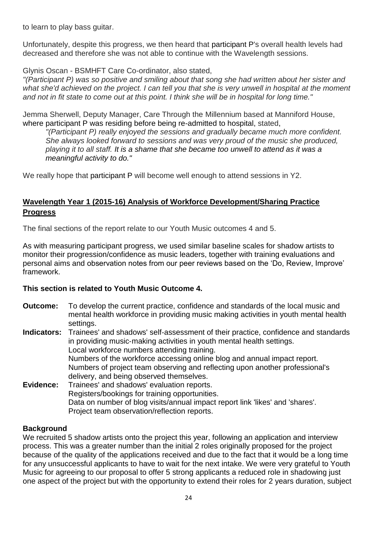to learn to play bass guitar.

Unfortunately, despite this progress, we then heard that participant P's overall health levels had decreased and therefore she was not able to continue with the Wavelength sessions.

Glynis Oscan - BSMHFT Care Co-ordinator, also stated,

*"(Participant P) was so positive and smiling about that song she had written about her sister and*  what she'd achieved on the project. I can tell you that she is very unwell in hospital at the moment *and not in fit state to come out at this point. I think she will be in hospital for long time."*

Jemma Sherwell, Deputy Manager, Care Through the Millennium based at Manniford House, where participant P was residing before being re-admitted to hospital, stated,

*"(Participant P) really enjoyed the sessions and gradually became much more confident. She always looked forward to sessions and was very proud of the music she produced, playing it to all staff. It is a shame that she became too unwell to attend as it was a meaningful activity to do."*

We really hope that participant P will become well enough to attend sessions in Y2.

# **Wavelength Year 1 (2015-16) Analysis of Workforce Development/Sharing Practice Progress**

The final sections of the report relate to our Youth Music outcomes 4 and 5.

As with measuring participant progress, we used similar baseline scales for shadow artists to monitor their progression/confidence as music leaders, together with training evaluations and personal aims and observation notes from our peer reviews based on the 'Do, Review, Improve' framework.

# **This section is related to Youth Music Outcome 4.**

- **Outcome:** To develop the current practice, confidence and standards of the local music and mental health workforce in providing music making activities in youth mental health settings.
- **Indicators:** Trainees' and shadows' self‐assessment of their practice, confidence and standards in providing music‐making activities in youth mental health settings. Local workforce numbers attending training. Numbers of the workforce accessing online blog and annual impact report. Numbers of project team observing and reflecting upon another professional's delivery, and being observed themselves. **Evidence:** Trainees' and shadows' evaluation reports. Registers/bookings for training opportunities. Data on number of blog visits/annual impact report link 'likes' and 'shares'.
	- Project team observation/reflection reports.

## **Background**

We recruited 5 shadow artists onto the project this year, following an application and interview process. This was a greater number than the initial 2 roles originally proposed for the project because of the quality of the applications received and due to the fact that it would be a long time for any unsuccessful applicants to have to wait for the next intake. We were very grateful to Youth Music for agreeing to our proposal to offer 5 strong applicants a reduced role in shadowing just one aspect of the project but with the opportunity to extend their roles for 2 years duration, subject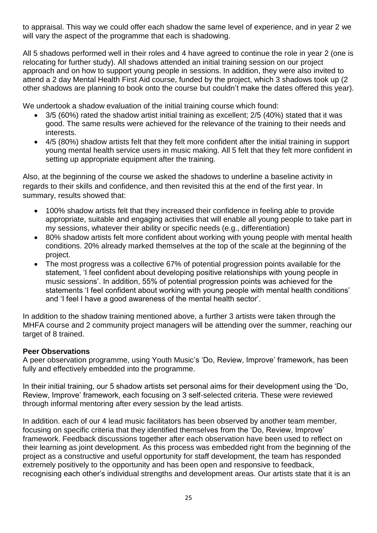to appraisal. This way we could offer each shadow the same level of experience, and in year 2 we will vary the aspect of the programme that each is shadowing.

All 5 shadows performed well in their roles and 4 have agreed to continue the role in year 2 (one is relocating for further study). All shadows attended an initial training session on our project approach and on how to support young people in sessions. In addition, they were also invited to attend a 2 day Mental Health First Aid course, funded by the project, which 3 shadows took up (2 other shadows are planning to book onto the course but couldn't make the dates offered this year).

We undertook a shadow evaluation of the initial training course which found:

- 3/5 (60%) rated the shadow artist initial training as excellent; 2/5 (40%) stated that it was good. The same results were achieved for the relevance of the training to their needs and interests.
- 4/5 (80%) shadow artists felt that they felt more confident after the initial training in support young mental health service users in music making. All 5 felt that they felt more confident in setting up appropriate equipment after the training.

Also, at the beginning of the course we asked the shadows to underline a baseline activity in regards to their skills and confidence, and then revisited this at the end of the first year. In summary, results showed that:

- 100% shadow artists felt that they increased their confidence in feeling able to provide appropriate, suitable and engaging activities that will enable all young people to take part in my sessions, whatever their ability or specific needs (e.g., differentiation)
- 80% shadow artists felt more confident about working with young people with mental health conditions. 20% already marked themselves at the top of the scale at the beginning of the project.
- The most progress was a collective 67% of potential progression points available for the statement, 'I feel confident about developing positive relationships with young people in music sessions'. In addition, 55% of potential progression points was achieved for the statements 'I feel confident about working with young people with mental health conditions' and 'I feel I have a good awareness of the mental health sector'.

In addition to the shadow training mentioned above, a further 3 artists were taken through the MHFA course and 2 community project managers will be attending over the summer, reaching our target of 8 trained.

## **Peer Observations**

A peer observation programme, using Youth Music's 'Do, Review, Improve' framework, has been fully and effectively embedded into the programme.

In their initial training, our 5 shadow artists set personal aims for their development using the 'Do, Review, Improve' framework, each focusing on 3 self-selected criteria. These were reviewed through informal mentoring after every session by the lead artists.

In addition. each of our 4 lead music facilitators has been observed by another team member, focusing on specific criteria that they identified themselves from the 'Do, Review, Improve' framework. Feedback discussions together after each observation have been used to reflect on their learning as joint development. As this process was embedded right from the beginning of the project as a constructive and useful opportunity for staff development, the team has responded extremely positively to the opportunity and has been open and responsive to feedback, recognising each other's individual strengths and development areas. Our artists state that it is an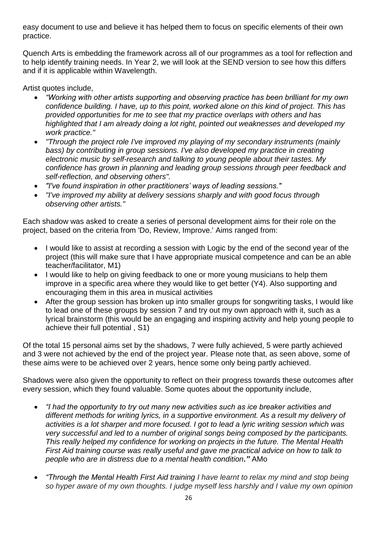easy document to use and believe it has helped them to focus on specific elements of their own practice.

Quench Arts is embedding the framework across all of our programmes as a tool for reflection and to help identify training needs. In Year 2, we will look at the SEND version to see how this differs and if it is applicable within Wavelength.

Artist quotes include,

- *"Working with other artists supporting and observing practice has been brilliant for my own confidence building. I have, up to this point, worked alone on this kind of project. This has provided opportunities for me to see that my practice overlaps with others and has highlighted that I am already doing a lot right, pointed out weaknesses and developed my work practice."*
- *"Through the project role I've improved my playing of my secondary instruments (mainly bass) by contributing in group sessions. I've also developed my practice in creating electronic music by self-research and talking to young people about their tastes. My confidence has grown in planning and leading group sessions through peer feedback and self-reflection, and observing others".*
- *"I've found inspiration in other practitioners' ways of leading sessions."*
- *"I've improved my ability at delivery sessions sharply and with good focus through observing other artists."*

Each shadow was asked to create a series of personal development aims for their role on the project, based on the criteria from 'Do, Review, Improve.' Aims ranged from:

- I would like to assist at recording a session with Logic by the end of the second year of the project (this will make sure that I have appropriate musical competence and can be an able teacher/facilitator, M1)
- I would like to help on giving feedback to one or more young musicians to help them improve in a specific area where they would like to get better (Y4). Also supporting and encouraging them in this area in musical activities
- After the group session has broken up into smaller groups for songwriting tasks, I would like to lead one of these groups by session 7 and try out my own approach with it, such as a lyrical brainstorm (this would be an engaging and inspiring activity and help young people to achieve their full potential , S1)

Of the total 15 personal aims set by the shadows, 7 were fully achieved, 5 were partly achieved and 3 were not achieved by the end of the project year. Please note that, as seen above, some of these aims were to be achieved over 2 years, hence some only being partly achieved.

Shadows were also given the opportunity to reflect on their progress towards these outcomes after every session, which they found valuable. Some quotes about the opportunity include,

- *"I had the opportunity to try out many new activities such as ice breaker activities and different methods for writing lyrics, in a supportive environment. As a result my delivery of activities is a lot sharper and more focused. I got to lead a lyric writing session which was very successful and led to a number of original songs being composed by the participants. This really helped my confidence for working on projects in the future. The Mental Health First Aid training course was really useful and gave me practical advice on how to talk to people who are in distress due to a mental health condition."* AMo
- *"Through the Mental Health First Aid training I have learnt to relax my mind and stop being so hyper aware of my own thoughts. I judge myself less harshly and I value my own opinion*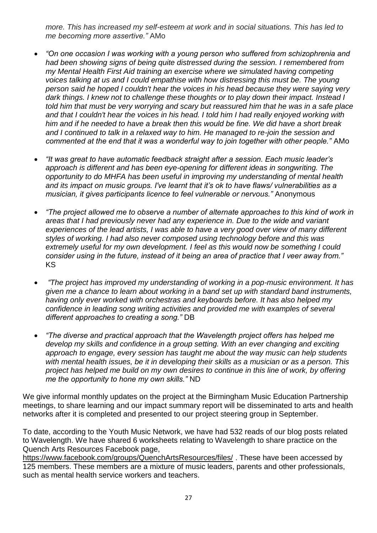*more. This has increased my self-esteem at work and in social situations. This has led to me becoming more assertive."* AMo

- *"On one occasion I was working with a young person who suffered from schizophrenia and had been showing signs of being quite distressed during the session. I remembered from my Mental Health First Aid training an exercise where we simulated having competing voices talking at us and I could empathise with how distressing this must be. The young person said he hoped I couldn't hear the voices in his head because they were saying very dark things. I knew not to challenge these thoughts or to play down their impact. Instead I told him that must be very worrying and scary but reassured him that he was in a safe place and that I couldn't hear the voices in his head. I told him I had really enjoyed working with him and if he needed to have a break then this would be fine. We did have a short break and I continued to talk in a relaxed way to him. He managed to re-join the session and commented at the end that it was a wonderful way to join together with other people."* AMo
- *"It was great to have automatic feedback straight after a session. Each music leader's approach is different and has been eye-opening for different ideas in songwriting. The opportunity to do MHFA has been useful in improving my understanding of mental health and its impact on music groups. I've learnt that it's ok to have flaws/ vulnerabilities as a musician, it gives participants licence to feel vulnerable or nervous."* Anonymous
- *"The project allowed me to observe a number of alternate approaches to this kind of work in areas that I had previously never had any experience in. Due to the wide and variant experiences of the lead artists, I was able to have a very good over view of many different styles of working. I had also never composed using technology before and this was extremely useful for my own development. I feel as this would now be something I could consider using in the future, instead of it being an area of practice that I veer away from."*  KS
- *"The project has improved my understanding of working in a pop-music environment. It has given me a chance to learn about working in a band set up with standard band instruments, having only ever worked with orchestras and keyboards before. It has also helped my confidence in leading song writing activities and provided me with examples of several different approaches to creating a song."* DB
- *"The diverse and practical approach that the Wavelength project offers has helped me develop my skills and confidence in a group setting. With an ever changing and exciting approach to engage, every session has taught me about the way music can help students with mental health issues, be it in developing their skills as a musician or as a person. This project has helped me build on my own desires to continue in this line of work, by offering me the opportunity to hone my own skills."* ND

We give informal monthly updates on the project at the Birmingham Music Education Partnership meetings, to share learning and our impact summary report will be disseminated to arts and health networks after it is completed and presented to our project steering group in September.

To date, according to the Youth Music Network, we have had 532 reads of our blog posts related to Wavelength. We have shared 6 worksheets relating to Wavelength to share practice on the Quench Arts Resources Facebook page,

<https://www.facebook.com/groups/QuenchArtsResources/files/> . These have been accessed by 125 members. These members are a mixture of music leaders, parents and other professionals, such as mental health service workers and teachers.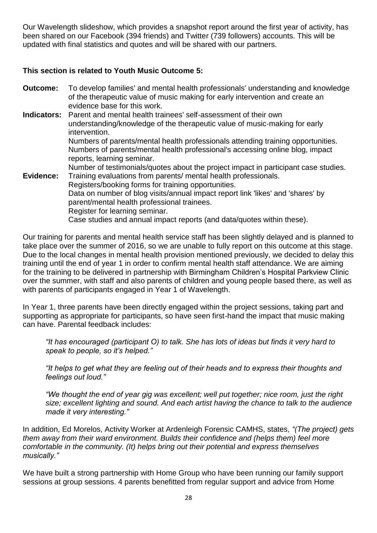Our Wavelength slideshow, which provides a snapshot report around the first year of activity, has been shared on our Facebook (394 friends) and Twitter (739 followers) accounts. This will be updated with final statistics and quotes and will be shared with our partners.

## **This section is related to Youth Music Outcome 5:**

**Outcome:** To develop families' and mental health professionals' understanding and knowledge of the therapeutic value of music making for early intervention and create an evidence base for this work. **Indicators:** Parent and mental health trainees' self-assessment of their own understanding/knowledge of the therapeutic value of music‐making for early intervention. Numbers of parents/mental health professionals attending training opportunities. Numbers of parents/mental health professional's accessing online blog, impact reports, learning seminar. Number of testimonials/quotes about the project impact in participant case studies. **Evidence:** Training evaluations from parents/ mental health professionals. Registers/booking forms for training opportunities. Data on number of blog visits/annual impact report link 'likes' and 'shares' by parent/mental health professional trainees. Register for learning seminar. Case studies and annual impact reports (and data/quotes within these).

Our training for parents and mental health service staff has been slightly delayed and is planned to take place over the summer of 2016, so we are unable to fully report on this outcome at this stage. Due to the local changes in mental health provision mentioned previously, we decided to delay this training until the end of year 1 in order to confirm mental health staff attendance. We are aiming for the training to be delivered in partnership with Birmingham Children's Hospital Parkview Clinic over the summer, with staff and also parents of children and young people based there, as well as with parents of participants engaged in Year 1 of Wavelength.

In Year 1, three parents have been directly engaged within the project sessions, taking part and supporting as appropriate for participants, so have seen first-hand the impact that music making can have. Parental feedback includes:

*"It has encouraged (participant O) to talk. She has lots of ideas but finds it very hard to speak to people, so it's helped."*

*"It helps to get what they are feeling out of their heads and to express their thoughts and feelings out loud."*

*"We thought the end of year gig was excellent; well put together; nice room, just the right size; excellent lighting and sound. And each artist having the chance to talk to the audience made it very interesting."* 

In addition, Ed Morelos, Activity Worker at Ardenleigh Forensic CAMHS, states, *"(The project) gets them away from their ward environment. Builds their confidence and (helps them) feel more comfortable in the community. (It) helps bring out their potential and express themselves musically."*

We have built a strong partnership with Home Group who have been running our family support sessions at group sessions. 4 parents benefitted from regular support and advice from Home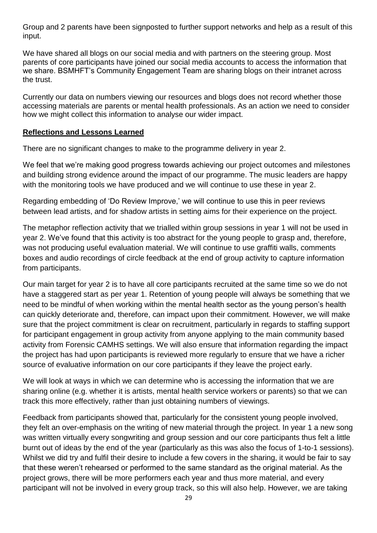Group and 2 parents have been signposted to further support networks and help as a result of this input.

We have shared all blogs on our social media and with partners on the steering group. Most parents of core participants have joined our social media accounts to access the information that we share. BSMHFT's Community Engagement Team are sharing blogs on their intranet across the trust.

Currently our data on numbers viewing our resources and blogs does not record whether those accessing materials are parents or mental health professionals. As an action we need to consider how we might collect this information to analyse our wider impact.

#### **Reflections and Lessons Learned**

There are no significant changes to make to the programme delivery in year 2.

We feel that we're making good progress towards achieving our project outcomes and milestones and building strong evidence around the impact of our programme. The music leaders are happy with the monitoring tools we have produced and we will continue to use these in year 2.

Regarding embedding of 'Do Review Improve,' we will continue to use this in peer reviews between lead artists, and for shadow artists in setting aims for their experience on the project.

The metaphor reflection activity that we trialled within group sessions in year 1 will not be used in year 2. We've found that this activity is too abstract for the young people to grasp and, therefore, was not producing useful evaluation material. We will continue to use graffiti walls, comments boxes and audio recordings of circle feedback at the end of group activity to capture information from participants.

Our main target for year 2 is to have all core participants recruited at the same time so we do not have a staggered start as per year 1. Retention of young people will always be something that we need to be mindful of when working within the mental health sector as the young person's health can quickly deteriorate and, therefore, can impact upon their commitment. However, we will make sure that the project commitment is clear on recruitment, particularly in regards to staffing support for participant engagement in group activity from anyone applying to the main community based activity from Forensic CAMHS settings. We will also ensure that information regarding the impact the project has had upon participants is reviewed more regularly to ensure that we have a richer source of evaluative information on our core participants if they leave the project early.

We will look at ways in which we can determine who is accessing the information that we are sharing online (e.g. whether it is artists, mental health service workers or parents) so that we can track this more effectively, rather than just obtaining numbers of viewings.

Feedback from participants showed that, particularly for the consistent young people involved, they felt an over-emphasis on the writing of new material through the project. In year 1 a new song was written virtually every songwriting and group session and our core participants thus felt a little burnt out of ideas by the end of the year (particularly as this was also the focus of 1-to-1 sessions). Whilst we did try and fulfil their desire to include a few covers in the sharing, it would be fair to say that these weren't rehearsed or performed to the same standard as the original material. As the project grows, there will be more performers each year and thus more material, and every participant will not be involved in every group track, so this will also help. However, we are taking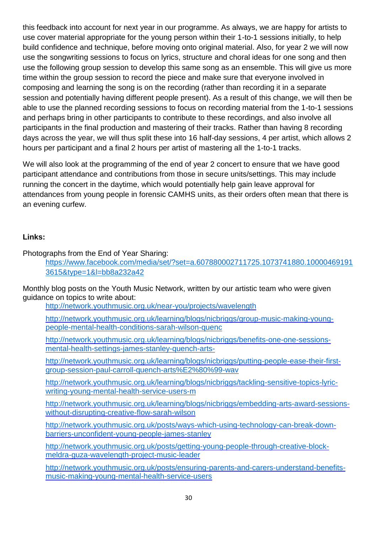this feedback into account for next year in our programme. As always, we are happy for artists to use cover material appropriate for the young person within their 1-to-1 sessions initially, to help build confidence and technique, before moving onto original material. Also, for year 2 we will now use the songwriting sessions to focus on lyrics, structure and choral ideas for one song and then use the following group session to develop this same song as an ensemble. This will give us more time within the group session to record the piece and make sure that everyone involved in composing and learning the song is on the recording (rather than recording it in a separate session and potentially having different people present). As a result of this change, we will then be able to use the planned recording sessions to focus on recording material from the 1-to-1 sessions and perhaps bring in other participants to contribute to these recordings, and also involve all participants in the final production and mastering of their tracks. Rather than having 8 recording days across the year, we will thus split these into 16 half-day sessions, 4 per artist, which allows 2 hours per participant and a final 2 hours per artist of mastering all the 1-to-1 tracks.

We will also look at the programming of the end of year 2 concert to ensure that we have good participant attendance and contributions from those in secure units/settings. This may include running the concert in the daytime, which would potentially help gain leave approval for attendances from young people in forensic CAMHS units, as their orders often mean that there is an evening curfew.

# **Links:**

Photographs from the End of Year Sharing:

[https://www.facebook.com/media/set/?set=a.607880002711725.1073741880.10000469191](https://www.facebook.com/media/set/?set=a.607880002711725.1073741880.100004691913615&type=1&l=bb8a232a42) [3615&type=1&l=bb8a232a42](https://www.facebook.com/media/set/?set=a.607880002711725.1073741880.100004691913615&type=1&l=bb8a232a42)

Monthly blog posts on the Youth Music Network, written by our artistic team who were given guidance on topics to write about:

<http://network.youthmusic.org.uk/near-you/projects/wavelength>

[http://network.youthmusic.org.uk/learning/blogs/nicbriggs/group-music-making-young](http://network.youthmusic.org.uk/learning/blogs/nicbriggs/group-music-making-young-people-mental-health-conditions-sarah-wilson-quenc)[people-mental-health-conditions-sarah-wilson-quenc](http://network.youthmusic.org.uk/learning/blogs/nicbriggs/group-music-making-young-people-mental-health-conditions-sarah-wilson-quenc)

[http://network.youthmusic.org.uk/learning/blogs/nicbriggs/benefits-one-one-sessions](http://network.youthmusic.org.uk/learning/blogs/nicbriggs/benefits-one-one-sessions-mental-health-settings-james-stanley-quench-arts-)[mental-health-settings-james-stanley-quench-arts-](http://network.youthmusic.org.uk/learning/blogs/nicbriggs/benefits-one-one-sessions-mental-health-settings-james-stanley-quench-arts-)

[http://network.youthmusic.org.uk/learning/blogs/nicbriggs/putting-people-ease-their-first](http://network.youthmusic.org.uk/learning/blogs/nicbriggs/putting-people-ease-their-first-group-session-paul-carroll-quench-arts%E2%80%99-wav)[group-session-paul-carroll-quench-arts%E2%80%99-wav](http://network.youthmusic.org.uk/learning/blogs/nicbriggs/putting-people-ease-their-first-group-session-paul-carroll-quench-arts%E2%80%99-wav)

[http://network.youthmusic.org.uk/learning/blogs/nicbriggs/tackling-sensitive-topics-lyric](http://network.youthmusic.org.uk/learning/blogs/nicbriggs/tackling-sensitive-topics-lyric-writing-young-mental-health-service-users-m)[writing-young-mental-health-service-users-m](http://network.youthmusic.org.uk/learning/blogs/nicbriggs/tackling-sensitive-topics-lyric-writing-young-mental-health-service-users-m)

[http://network.youthmusic.org.uk/learning/blogs/nicbriggs/embedding-arts-award-sessions](http://network.youthmusic.org.uk/learning/blogs/nicbriggs/embedding-arts-award-sessions-without-disrupting-creative-flow-sarah-wilson)[without-disrupting-creative-flow-sarah-wilson](http://network.youthmusic.org.uk/learning/blogs/nicbriggs/embedding-arts-award-sessions-without-disrupting-creative-flow-sarah-wilson)

[http://network.youthmusic.org.uk/posts/ways-which-using-technology-can-break-down](http://network.youthmusic.org.uk/posts/ways-which-using-technology-can-break-down-barriers-unconfident-young-people-james-stanley)[barriers-unconfident-young-people-james-stanley](http://network.youthmusic.org.uk/posts/ways-which-using-technology-can-break-down-barriers-unconfident-young-people-james-stanley)

[http://network.youthmusic.org.uk/posts/getting-young-people-through-creative-block](http://network.youthmusic.org.uk/posts/getting-young-people-through-creative-block-meldra-guza-wavelength-project-music-leader)[meldra-guza-wavelength-project-music-leader](http://network.youthmusic.org.uk/posts/getting-young-people-through-creative-block-meldra-guza-wavelength-project-music-leader)

[http://network.youthmusic.org.uk/posts/ensuring-parents-and-carers-understand-benefits](http://network.youthmusic.org.uk/posts/ensuring-parents-and-carers-understand-benefits-music-making-young-mental-health-service-users)[music-making-young-mental-health-service-users](http://network.youthmusic.org.uk/posts/ensuring-parents-and-carers-understand-benefits-music-making-young-mental-health-service-users)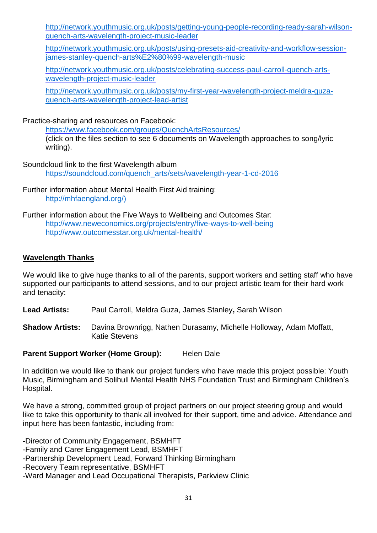[http://network.youthmusic.org.uk/posts/getting-young-people-recording-ready-sarah-wilson](http://network.youthmusic.org.uk/posts/getting-young-people-recording-ready-sarah-wilson-quench-arts-wavelength-project-music-leader)[quench-arts-wavelength-project-music-leader](http://network.youthmusic.org.uk/posts/getting-young-people-recording-ready-sarah-wilson-quench-arts-wavelength-project-music-leader)

[http://network.youthmusic.org.uk/posts/using-presets-aid-creativity-and-workflow-session](http://network.youthmusic.org.uk/posts/using-presets-aid-creativity-and-workflow-session-james-stanley-quench-arts%E2%80%99-wavelength-music)[james-stanley-quench-arts%E2%80%99-wavelength-music](http://network.youthmusic.org.uk/posts/using-presets-aid-creativity-and-workflow-session-james-stanley-quench-arts%E2%80%99-wavelength-music)

[http://network.youthmusic.org.uk/posts/celebrating-success-paul-carroll-quench-arts](http://network.youthmusic.org.uk/posts/celebrating-success-paul-carroll-quench-arts-wavelength-project-music-leader)[wavelength-project-music-leader](http://network.youthmusic.org.uk/posts/celebrating-success-paul-carroll-quench-arts-wavelength-project-music-leader)

[http://network.youthmusic.org.uk/posts/my-first-year-wavelength-project-meldra-guza](http://network.youthmusic.org.uk/posts/my-first-year-wavelength-project-meldra-guza-quench-arts-wavelength-project-lead-artist)[quench-arts-wavelength-project-lead-artist](http://network.youthmusic.org.uk/posts/my-first-year-wavelength-project-meldra-guza-quench-arts-wavelength-project-lead-artist)

Practice-sharing and resources on Facebook:

<https://www.facebook.com/groups/QuenchArtsResources/> (click on the files section to see 6 documents on Wavelength approaches to song/lyric writing).

Soundcloud link to the first Wavelength album [https://soundcloud.com/quench\\_arts/sets/wavelength-year-1-cd-2016](https://soundcloud.com/quench_arts/sets/wavelength-year-1-cd-2016)

Further information about Mental Health First Aid training: http://mhfaengland.org/)

Further information about the Five Ways to Wellbeing and Outcomes Star: <http://www.neweconomics.org/projects/entry/five-ways-to-well-being> http://www.outcomesstar.org.uk/mental-health/

## **Wavelength Thanks**

We would like to give huge thanks to all of the parents, support workers and setting staff who have supported our participants to attend sessions, and to our project artistic team for their hard work and tenacity:

**Lead Artists:** Paul Carroll, Meldra Guza, James Stanley**,** Sarah Wilson

**Shadow Artists:** Davina Brownrigg, Nathen Durasamy, Michelle Holloway, Adam Moffatt, Katie Stevens

#### **Parent Support Worker (Home Group):** Helen Dale

In addition we would like to thank our project funders who have made this project possible: Youth Music, Birmingham and Solihull Mental Health NHS Foundation Trust and Birmingham Children's Hospital.

We have a strong, committed group of project partners on our project steering group and would like to take this opportunity to thank all involved for their support, time and advice. Attendance and input here has been fantastic, including from:

-Director of Community Engagement, BSMHFT -Family and Carer Engagement Lead, BSMHFT -Partnership Development Lead, Forward Thinking Birmingham -Recovery Team representative, BSMHFT -Ward Manager and Lead Occupational Therapists, Parkview Clinic